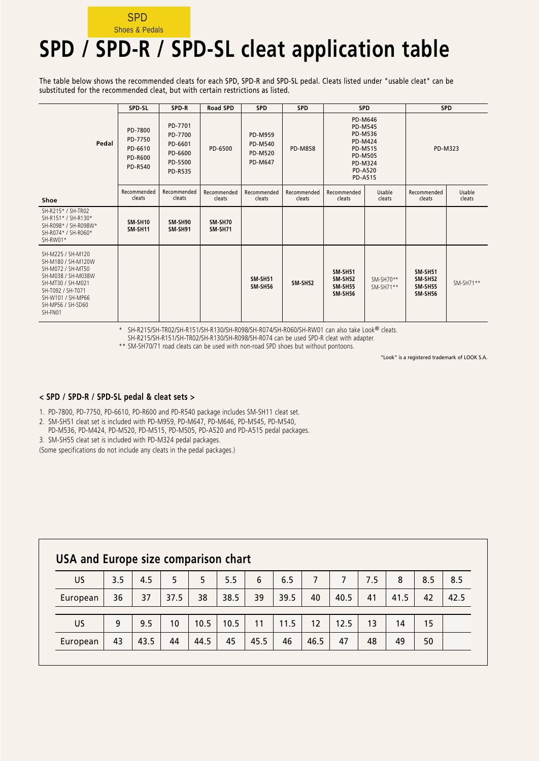### **SPD** Shoes & Pedals

# **SPD / SPD-R / SPD-SL cleat application table**

The table below shows the recommended cleats for each SPD, SPD-R and SPD-SL pedal. Cleats listed under "usable cleat" can be substituted for the recommended cleat, but with certain restrictions as listed.

|                                                                                                                                                                                   | SPD-SL                                                            | SPD-R                                                                 | <b>Road SPD</b>           | <b>SPD</b>                                                           | <b>SPD</b>            | <b>SPD</b>                                                                                                                                       |                            | <b>SPD</b>                                             |                  |  |
|-----------------------------------------------------------------------------------------------------------------------------------------------------------------------------------|-------------------------------------------------------------------|-----------------------------------------------------------------------|---------------------------|----------------------------------------------------------------------|-----------------------|--------------------------------------------------------------------------------------------------------------------------------------------------|----------------------------|--------------------------------------------------------|------------------|--|
| Pedal                                                                                                                                                                             | PD-7800<br>PD-7750<br>PD-6610<br><b>PD-R600</b><br><b>PD-R540</b> | PD-7701<br>PD-7700<br>PD-6601<br>PD-6600<br>PD-5500<br><b>PD-R535</b> | PD-6500                   | <b>PD-M959</b><br><b>PD-M540</b><br><b>PD-M520</b><br><b>PD-M647</b> | <b>PD-M858</b>        | PD-M646<br><b>PD-M545</b><br><b>PD-M536</b><br><b>PD-M424</b><br><b>PD-M515</b><br><b>PD-M505</b><br>PD-M324<br><b>PD-A520</b><br><b>PD-A515</b> |                            |                                                        | PD-M323          |  |
| Shoe                                                                                                                                                                              | Recommended<br>cleats                                             | Recommended<br>cleats                                                 | Recommended<br>cleats     | Recommended<br>cleats                                                | Recommended<br>cleats | Recommended<br>cleats                                                                                                                            | Usable<br>cleats           | Recommended<br>cleats                                  | Usable<br>cleats |  |
| SH-R215* / SH-TR02<br>SH-R151* / SH-R130*<br>SH-R098* / SH-R098W*<br>SH-R074* / SH-R060*<br>SH-RW01*                                                                              | SM-SH10<br>SM-SH11                                                | SM-SH90<br>SM-SH91                                                    | SM-SH70<br><b>SM-SH71</b> |                                                                      |                       |                                                                                                                                                  |                            |                                                        |                  |  |
| SH-M225 / SH-M120<br>SH-M180 / SH-M120W<br>SH-M072 / SH-MT50<br>SH-M038 / SH-M038W<br>SH-MT30 / SH-M021<br>SH-T092 / SH-T071<br>SH-W101 / SH-MP66<br>SH-MP56 / SH-SD60<br>SH-FN01 |                                                                   |                                                                       |                           | <b>SM-SH51</b><br>SM-SH56                                            | SM-SH52               | <b>SM-SH51</b><br><b>SM-SH52</b><br><b>SM-SH55</b><br><b>SM-SH56</b>                                                                             | $SM-SH70**$<br>$SM-SH71**$ | <b>SM-SH51</b><br><b>SM-SH52</b><br>SM-SH55<br>SM-SH56 | $SM-SH71**$      |  |

\* SH-R215/SH-TR02/SH-R151/SH-R130/SH-R098/SH-R074/SH-R060/SH-RW01 can also take Look® cleats.

SH-R215/SH-R151/SH-TR02/SH-R130/SH-R098/SH-R074 can be used SPD-R cleat with adapter.

\*\* SM-SH70/71 road cleats can be used with non-road SPD shoes but without pontoons.

"Look" is a registered trademark of LOOK S.A.

#### **< SPD / SPD-R / SPD-SL pedal & cleat sets >**

1. PD-7800, PD-7750, PD-6610, PD-R600 and PD-R540 package includes SM-SH11 cleat set.

2. SM-SH51 cleat set is included with PD-M959, PD-M647, PD-M646, PD-M545, PD-M540,

PD-M536, PD-M424, PD-M520, PD-M515, PD-M505, PD-A520 and PD-A515 pedal packages.

3. SM-SH55 cleat set is included with PD-M324 pedal packages.

(Some specifications do not include any cleats in the pedal packages.)

| USA and Europe size comparison chart                                         |     |      |      |      |      |      |      |      |      |     |      |     |      |
|------------------------------------------------------------------------------|-----|------|------|------|------|------|------|------|------|-----|------|-----|------|
| US.                                                                          | 3.5 | 4.5  | 5.   | 5    | 5.5  | 6    | 6.5  |      |      | 7.5 | 8    | 8.5 | 8.5  |
| European                                                                     | 36  | 37   | 37.5 | 38   | 38.5 | 39   | 39.5 | 40   | 40.5 | 41  | 41.5 | 42  | 42.5 |
| 9.5<br>10.5<br>9<br>11.5<br>13<br>10<br>10.5<br>12<br>12.5<br>14<br>15<br>11 |     |      |      |      |      |      |      |      |      |     |      |     |      |
| <b>US</b>                                                                    |     |      |      |      |      |      |      |      |      |     |      |     |      |
| European                                                                     | 43  | 43.5 | 44   | 44.5 | 45   | 45.5 | 46   | 46.5 | 47   | 48  | 49   | 50  |      |